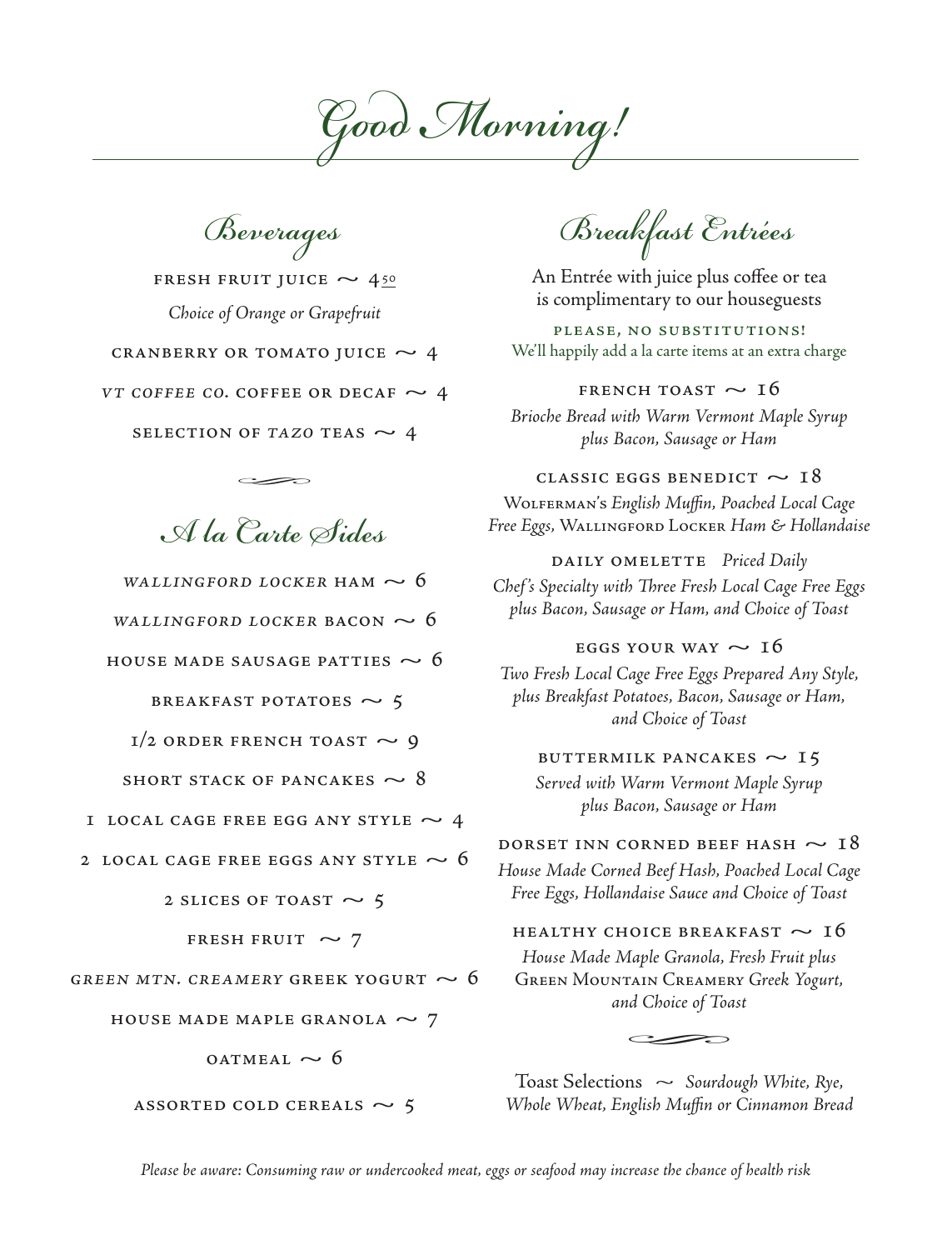Good Morning!

Beverages

FRESH FRUIT JUICE  $\sim$  450 Choice of Orange or Grapefruit

CRANBERRY OR TOMATO JUICE  $\sim$  4

VT COFFEE CO. COFFEE OR DECAF  $\sim$  4

SELECTION OF TAZO TEAS  $\sim$  4

A la Carte Sides

WALLINGFORD LOCKER HAM  $\sim$  6

WALLINGFORD LOCKER BACON  $\sim$  6

HOUSE MADE SAUSAGE PATTIES  $\sim$  6

**BREAKFAST POTATOES**  $\sim$  **5** 

 $1/2$  order french toast  $\sim$  9

SHORT STACK OF PANCAKES  $\sim$  8

1 LOCAL CAGE FREE EGG ANY STYLE  $\sim$  4

2 LOCAL CAGE FREE EGGS ANY STYLE  $\sim 6$ 

2 SLICES OF TOAST  $\sim$  5

FRESH FRUIT  $\sim$  7

GREEN MTN. CREAMERY GREEK YOGURT  $\sim$  6

HOUSE MADE MAPLE GRANOLA  $\sim$  7

 $o$ ATMEAL  $\sim$  6

ASSORTED COLD CEREALS  $\sim$  5

Breakfast Entrées

An Entrée with juice plus coffee or tea is complimentary to our houseguests

PLEASE, NO SUBSTITUTIONS! We'll happily add a la carte items at an extra charge

## FRENCH TOAST  $\sim$  16

Brioche Bread with Warm Vermont Maple Syrup plus Bacon, Sausage or Ham

CLASSIC EGGS BENEDICT  $\sim$  18 Wolferman's English Muffin, Poached Local Cage Free Eggs, Wallingford Locker Ham & Hollandaise

DAILY OMELETTE Priced Daily

Chef's Specialty with Three Fresh Local Cage Free Eggs plus Bacon, Sausage or Ham, and Choice of Toast

EGGS YOUR WAY  $\sim 16$ Two Fresh Local Cage Free Eggs Prepared Any Style, plus Breakfast Potatoes, Bacon, Sausage or Ham, and Choice of Toast

BUTTERMILK PANCAKES  $\sim$  15 Served with Warm Vermont Maple Syrup plus Bacon, Sausage or Ham

DORSET INN CORNED BEEF HASH  $\sim18$ 

House Made Corned Beef Hash, Poached Local Cage Free Eggs, Hollandaise Sauce and Choice of Toast

HEALTHY CHOICE BREAKFAST  $\sim 16$ 

House Made Maple Granola, Fresh Fruit plus Green Mountain Creamery Greek Yogurt, and Choice of Toast FOICE BREAK<br>Maple Granola, I<br>TAIN CREAMER<br>nd Choice of Toa

Toast Selections  $\sim$  Sourdough White, Rye, Whole Wheat, English Muffin or Cinnamon Bread

Please be aware: Consuming raw or undercooked meat, eggs or seafood may increase the chance of health risk